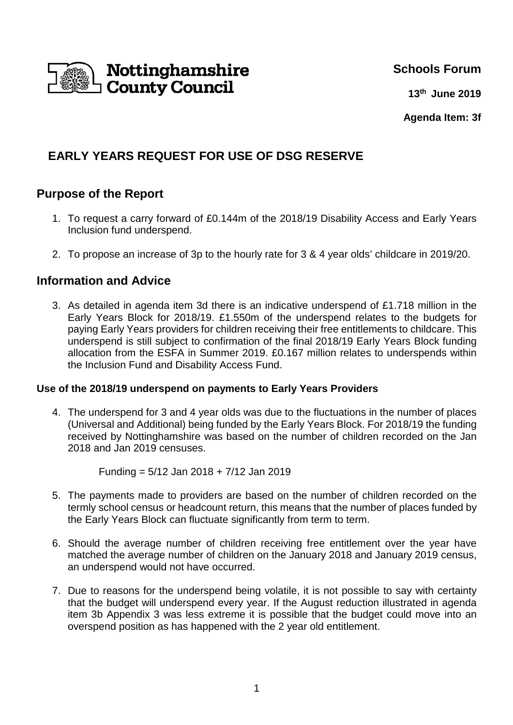

## **Schools Forum**

**13 th June 2019**

**Agenda Item: 3f**

# **EARLY YEARS REQUEST FOR USE OF DSG RESERVE**

# **Purpose of the Report**

- 1. To request a carry forward of £0.144m of the 2018/19 Disability Access and Early Years Inclusion fund underspend.
- 2. To propose an increase of 3p to the hourly rate for 3 & 4 year olds' childcare in 2019/20.

# **Information and Advice**

3. As detailed in agenda item 3d there is an indicative underspend of £1.718 million in the Early Years Block for 2018/19. £1.550m of the underspend relates to the budgets for paying Early Years providers for children receiving their free entitlements to childcare. This underspend is still subject to confirmation of the final 2018/19 Early Years Block funding allocation from the ESFA in Summer 2019. £0.167 million relates to underspends within the Inclusion Fund and Disability Access Fund.

### **Use of the 2018/19 underspend on payments to Early Years Providers**

4. The underspend for 3 and 4 year olds was due to the fluctuations in the number of places (Universal and Additional) being funded by the Early Years Block. For 2018/19 the funding received by Nottinghamshire was based on the number of children recorded on the Jan 2018 and Jan 2019 censuses.

Funding = 5/12 Jan 2018 + 7/12 Jan 2019

- 5. The payments made to providers are based on the number of children recorded on the termly school census or headcount return, this means that the number of places funded by the Early Years Block can fluctuate significantly from term to term.
- 6. Should the average number of children receiving free entitlement over the year have matched the average number of children on the January 2018 and January 2019 census, an underspend would not have occurred.
- 7. Due to reasons for the underspend being volatile, it is not possible to say with certainty that the budget will underspend every year. If the August reduction illustrated in agenda item 3b Appendix 3 was less extreme it is possible that the budget could move into an overspend position as has happened with the 2 year old entitlement.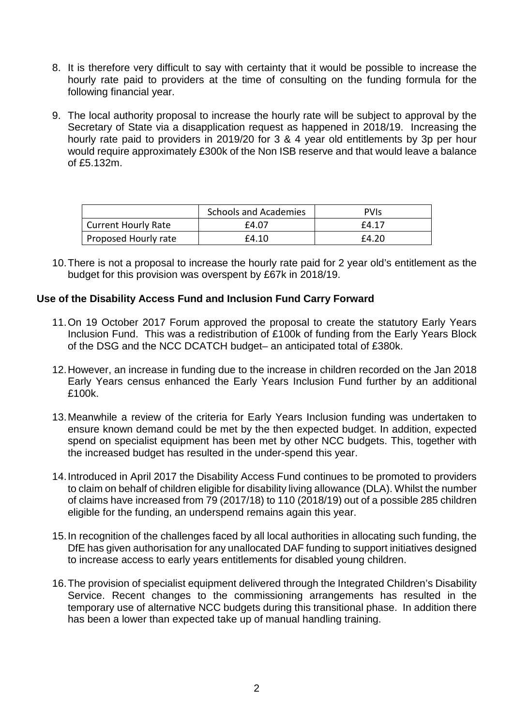- 8. It is therefore very difficult to say with certainty that it would be possible to increase the hourly rate paid to providers at the time of consulting on the funding formula for the following financial year.
- 9. The local authority proposal to increase the hourly rate will be subject to approval by the Secretary of State via a disapplication request as happened in 2018/19. Increasing the hourly rate paid to providers in 2019/20 for 3 & 4 year old entitlements by 3p per hour would require approximately £300k of the Non ISB reserve and that would leave a balance of £5.132m.

|                            | <b>Schools and Academies</b> | <b>PVIS</b> |
|----------------------------|------------------------------|-------------|
| <b>Current Hourly Rate</b> | £4.07                        | £4.17       |
| Proposed Hourly rate       | £4.10                        | £4.20       |

10. There is not a proposal to increase the hourly rate paid for 2 year old's entitlement as the budget for this provision was overspent by £67k in 2018/19.

#### **Use of the Disability Access Fund and Inclusion Fund Carry Forward**

- 11. On 19 October 2017 Forum approved the proposal to create the statutory Early Years Inclusion Fund. This was a redistribution of £100k of funding from the Early Years Block of the DSG and the NCC DCATCH budget– an anticipated total of £380k.
- 12. However, an increase in funding due to the increase in children recorded on the Jan 2018 Early Years census enhanced the Early Years Inclusion Fund further by an additional £100k.
- 13. Meanwhile a review of the criteria for Early Years Inclusion funding was undertaken to ensure known demand could be met by the then expected budget. In addition, expected spend on specialist equipment has been met by other NCC budgets. This, together with the increased budget has resulted in the under-spend this year.
- 14. Introduced in April 2017 the Disability Access Fund continues to be promoted to providers to claim on behalf of children eligible for disability living allowance (DLA). Whilst the number of claims have increased from 79 (2017/18) to 110 (2018/19) out of a possible 285 children eligible for the funding, an underspend remains again this year.
- 15. In recognition of the challenges faced by all local authorities in allocating such funding, the DfE has given authorisation for any unallocated DAF funding to support initiatives designed to increase access to early years entitlements for disabled young children.
- 16. The provision of specialist equipment delivered through the Integrated Children's Disability Service. Recent changes to the commissioning arrangements has resulted in the temporary use of alternative NCC budgets during this transitional phase. In addition there has been a lower than expected take up of manual handling training.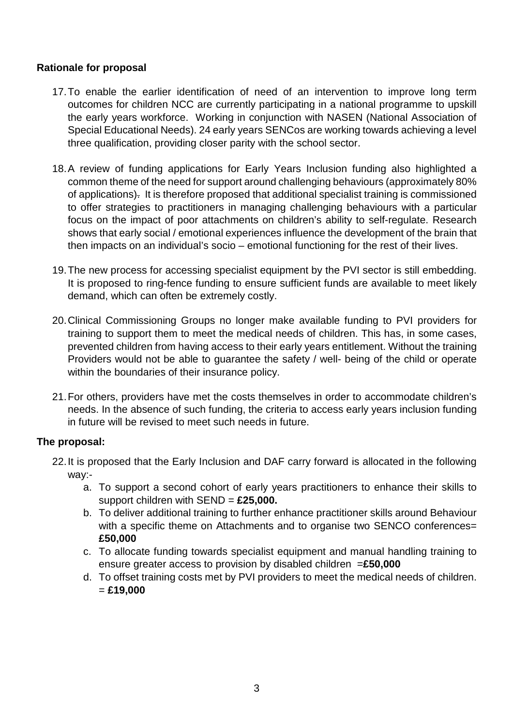### **Rationale for proposal**

- 17. To enable the earlier identification of need of an intervention to improve long term outcomes for children NCC are currently participating in a national programme to upskill the early years workforce. Working in conjunction with NASEN (National Association of Special Educational Needs). 24 early years SENCos are working towards achieving a level three qualification, providing closer parity with the school sector.
- 18. A review of funding applications for Early Years Inclusion funding also highlighted a common theme of the need for support around challenging behaviours (approximately 80% of applications). It is therefore proposed that additional specialist training is commissioned to offer strategies to practitioners in managing challenging behaviours with a particular focus on the impact of poor attachments on children's ability to self-regulate. Research shows that early social / emotional experiences influence the development of the brain that then impacts on an individual's socio – emotional functioning for the rest of their lives.
- 19. The new process for accessing specialist equipment by the PVI sector is still embedding. It is proposed to ring-fence funding to ensure sufficient funds are available to meet likely demand, which can often be extremely costly.
- 20. Clinical Commissioning Groups no longer make available funding to PVI providers for training to support them to meet the medical needs of children. This has, in some cases, prevented children from having access to their early years entitlement. Without the training Providers would not be able to guarantee the safety / well- being of the child or operate within the boundaries of their insurance policy.
- 21. For others, providers have met the costs themselves in order to accommodate children's needs. In the absence of such funding, the criteria to access early years inclusion funding in future will be revised to meet such needs in future.

### **The proposal:**

- 22. It is proposed that the Early Inclusion and DAF carry forward is allocated in the following way:
	- a. To support a second cohort of early years practitioners to enhance their skills to support children with SEND = **£25,000.**
	- b. To deliver additional training to further enhance practitioner skills around Behaviour with a specific theme on Attachments and to organise two SENCO conferences= **£50,000**
	- c. To allocate funding towards specialist equipment and manual handling training to ensure greater access to provision by disabled children =**£50,000**
	- d. To offset training costs met by PVI providers to meet the medical needs of children. = **£19,000**